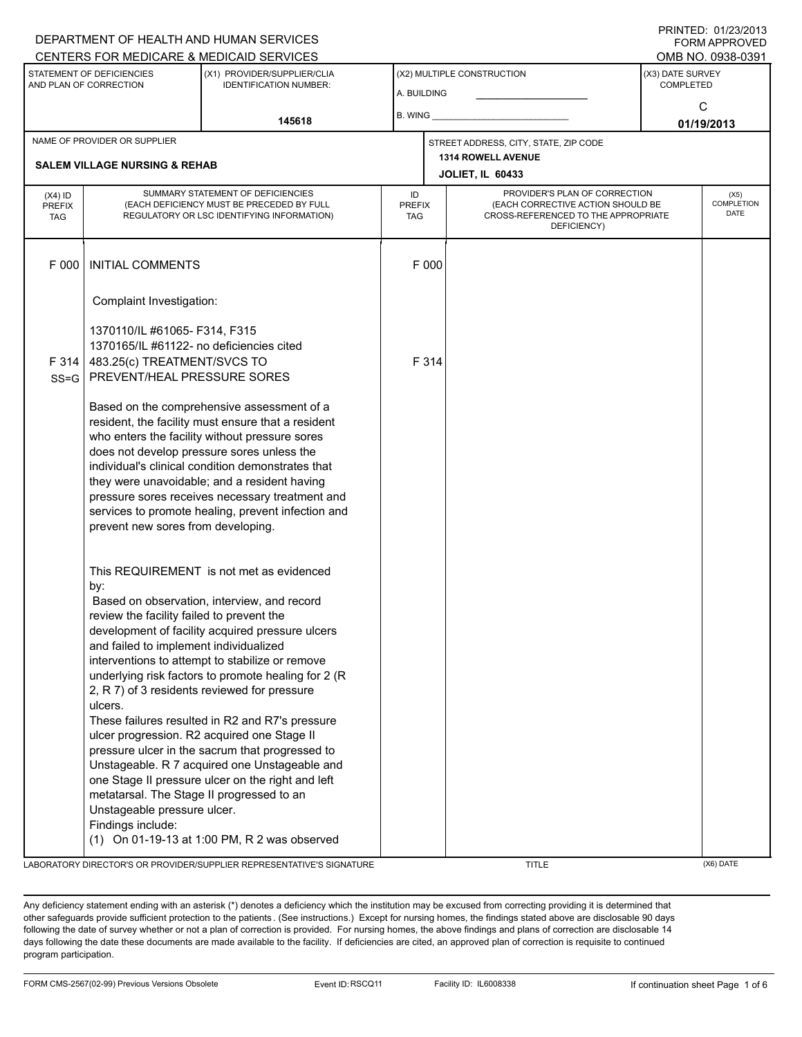## A. BUILDING (X1) PROVIDER/SUPPLIER/CLIA IDENTIFICATION NUMBER: STATEMENT OF DEFICIENCIES AND PLAN OF CORRECTION (X3) DATE SURVEY COMPLETED FORM APPROVED (X2) MULTIPLE CONSTRUCTION B. WING DEPARTMENT OF HEALTH AND HUMAN SERVICES CENTERS FOR MEDICARE & MEDICAID SERVICES **And CENTERS FOR MEDICAL ACCESS** OMB NO. 0938-0391 **145618 01/19/2013**  $\mathsf{C}$ **JOLIET, IL 60433** NAME OF PROVIDER OR SUPPLIER STREET ADDRESS, CITY, STATE, ZIP CODE **SALEM VILLAGE NURSING & REHAB 1314 ROWELL AVENUE** PROVIDER'S PLAN OF CORRECTION (EACH CORRECTIVE ACTION SHOULD BE CROSS-REFERENCED TO THE APPROPRIATE DEFICIENCY) (X5) **COMPLETION** DATE ID PREFIX TAG  $(X4)$  ID PREFIX TAG SUMMARY STATEMENT OF DEFICIENCIES (EACH DEFICIENCY MUST BE PRECEDED BY FULL REGULATORY OR LSC IDENTIFYING INFORMATION) F 000 INITIAL COMMENTS F 000 Complaint Investigation: 1370110/IL #61065- F314, F315 1370165/IL #61122- no deficiencies cited F 314 SS=G 483.25(c) TREATMENT/SVCS TO PREVENT/HEAL PRESSURE SORES Based on the comprehensive assessment of a resident, the facility must ensure that a resident who enters the facility without pressure sores does not develop pressure sores unless the individual's clinical condition demonstrates that they were unavoidable; and a resident having pressure sores receives necessary treatment and services to promote healing, prevent infection and prevent new sores from developing. This REQUIREMENT is not met as evidenced by: F 314 Based on observation, interview, and record review the facility failed to prevent the development of facility acquired pressure ulcers and failed to implement individualized interventions to attempt to stabilize or remove underlying risk factors to promote healing for 2 (R 2, R 7) of 3 residents reviewed for pressure ulcers. These failures resulted in R2 and R7's pressure ulcer progression. R2 acquired one Stage II pressure ulcer in the sacrum that progressed to Unstageable. R 7 acquired one Unstageable and one Stage II pressure ulcer on the right and left metatarsal. The Stage II progressed to an Unstageable pressure ulcer. Findings include: (1) On 01-19-13 at 1:00 PM, R 2 was observed

LABORATORY DIRECTOR'S OR PROVIDER/SUPPLIER REPRESENTATIVE'S SIGNATURE TITLE (X6) DATE

PRINTED: 01/23/2013

Any deficiency statement ending with an asterisk (\*) denotes a deficiency which the institution may be excused from correcting providing it is determined that other safeguards provide sufficient protection to the patients . (See instructions.) Except for nursing homes, the findings stated above are disclosable 90 days following the date of survey whether or not a plan of correction is provided. For nursing homes, the above findings and plans of correction are disclosable 14 days following the date these documents are made available to the facility. If deficiencies are cited, an approved plan of correction is requisite to continued program participation.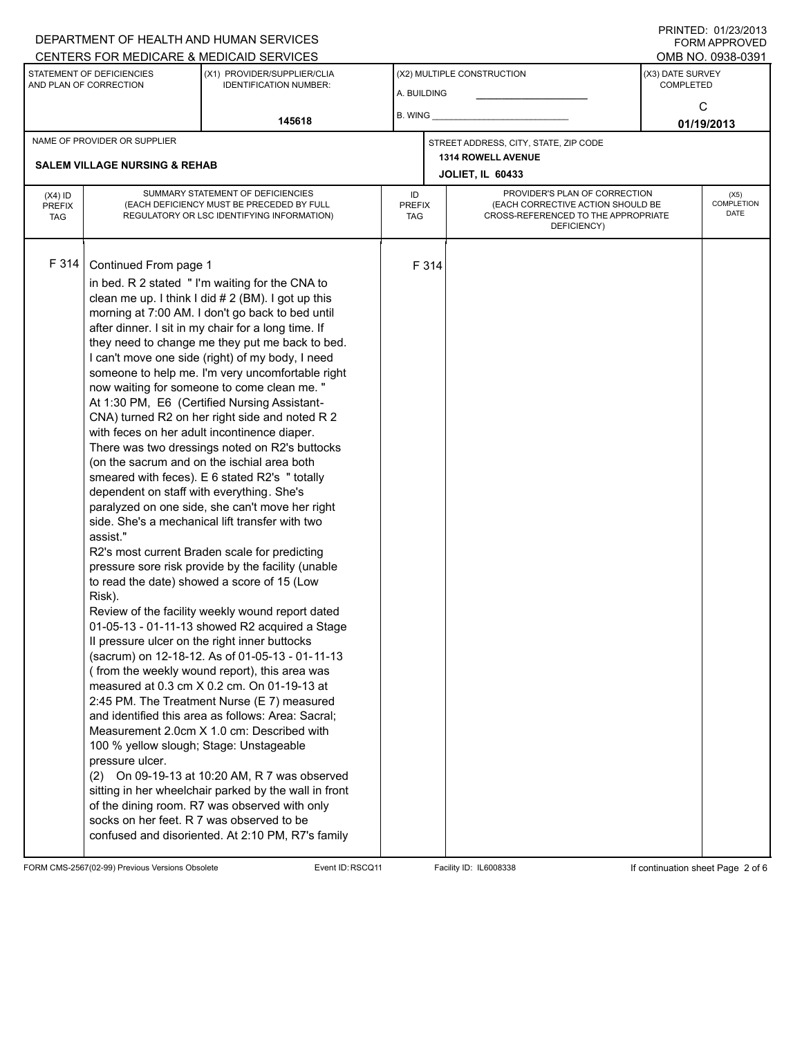#### A. BUILDING (X1) PROVIDER/SUPPLIER/CLIA IDENTIFICATION NUMBER: STATEMENT OF DEFICIENCIES AND PLAN OF CORRECTION (X3) DATE SURVEY COMPLETED FORM APPROVED (X2) MULTIPLE CONSTRUCTION B. WING CENTERS FOR MEDICARE & MEDICAID SERVICES **And CENTERS FOR MEDICAL ACCESS** OMB NO. 0938-0391 **145618 01/19/2013**  $\Omega$ **JOLIET, IL 60433** NAME OF PROVIDER OR SUPPLIER STREET ADDRESS, CITY, STATE, ZIP CODE **SALEM VILLAGE NURSING & REHAB 1314 ROWELL AVENUE** PROVIDER'S PLAN OF CORRECTION (EACH CORRECTIVE ACTION SHOULD BE CROSS-REFERENCED TO THE APPROPRIATE DEFICIENCY) (X5) **COMPLETION** DATE ID PREFIX TAG (X4) ID PREFIX TAG SUMMARY STATEMENT OF DEFICIENCIES (EACH DEFICIENCY MUST BE PRECEDED BY FULL REGULATORY OR LSC IDENTIFYING INFORMATION) F 314 Continued From page 1 F 314 in bed. R 2 stated " I'm waiting for the CNA to clean me up. I think I did  $# 2$  (BM). I got up this morning at 7:00 AM. I don't go back to bed until after dinner. I sit in my chair for a long time. If they need to change me they put me back to bed. I can't move one side (right) of my body, I need someone to help me. I'm very uncomfortable right now waiting for someone to come clean me. " At 1:30 PM, E6 (Certified Nursing Assistant-CNA) turned R2 on her right side and noted R 2 with feces on her adult incontinence diaper. There was two dressings noted on R2's buttocks (on the sacrum and on the ischial area both smeared with feces). E 6 stated R2's " totally dependent on staff with everything. She's paralyzed on one side, she can't move her right side. She's a mechanical lift transfer with two assist." R2's most current Braden scale for predicting pressure sore risk provide by the facility (unable to read the date) showed a score of 15 (Low Risk). Review of the facility weekly wound report dated 01-05-13 - 01-11-13 showed R2 acquired a Stage II pressure ulcer on the right inner buttocks (sacrum) on 12-18-12. As of 01-05-13 - 01-11-13 ( from the weekly wound report), this area was measured at 0.3 cm X 0.2 cm. On 01-19-13 at 2:45 PM. The Treatment Nurse (E 7) measured and identified this area as follows: Area: Sacral; Measurement 2.0cm X 1.0 cm: Described with 100 % yellow slough; Stage: Unstageable pressure ulcer. (2) On 09-19-13 at 10:20 AM, R 7 was observed sitting in her wheelchair parked by the wall in front of the dining room. R7 was observed with only socks on her feet. R 7 was observed to be confused and disoriented. At 2:10 PM, R7's family

FORM CMS-2567(02-99) Previous Versions Obsolete Event ID:RSCQ11 Facility ID: IL6008338 If continuation sheet Page 2 of 6

DEPARTMENT OF HEALTH AND HUMAN SERVICES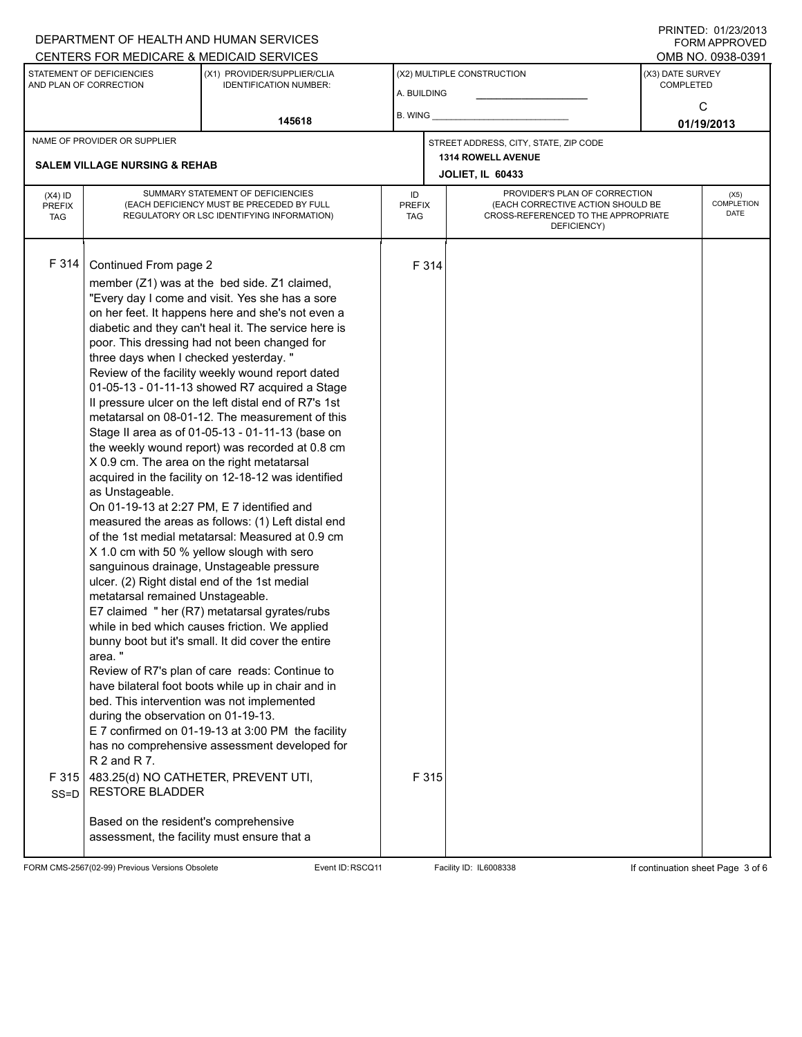#### A. BUILDING (X1) PROVIDER/SUPPLIER/CLIA IDENTIFICATION NUMBER: STATEMENT OF DEFICIENCIES AND PLAN OF CORRECTION (X3) DATE SURVEY COMPLETED FORM APPROVED (X2) MULTIPLE CONSTRUCTION B. WING DEPARTMENT OF HEALTH AND HUMAN SERVICES CENTERS FOR MEDICARE & MEDICAID SERVICES **And CENTERS FOR MEDICAL ACCESS** OMB NO. 0938-0391 **145618 01/19/2013**  $\Omega$ **JOLIET, IL 60433** NAME OF PROVIDER OR SUPPLIER STREET ADDRESS, CITY, STATE, ZIP CODE **SALEM VILLAGE NURSING & REHAB 1314 ROWELL AVENUE** PROVIDER'S PLAN OF CORRECTION (EACH CORRECTIVE ACTION SHOULD BE CROSS-REFERENCED TO THE APPROPRIATE DEFICIENCY) (X5) **COMPLETION** DATE ID PREFIX TAG (X4) ID PREFIX TAG SUMMARY STATEMENT OF DEFICIENCIES (EACH DEFICIENCY MUST BE PRECEDED BY FULL REGULATORY OR LSC IDENTIFYING INFORMATION) F 314 Continued From page 2 F 314 member (Z1) was at the bed side. Z1 claimed, "Every day I come and visit. Yes she has a sore on her feet. It happens here and she's not even a diabetic and they can't heal it. The service here is poor. This dressing had not been changed for three days when I checked yesterday. " Review of the facility weekly wound report dated 01-05-13 - 01-11-13 showed R7 acquired a Stage II pressure ulcer on the left distal end of R7's 1st metatarsal on 08-01-12. The measurement of this Stage II area as of 01-05-13 - 01-11-13 (base on the weekly wound report) was recorded at 0.8 cm X 0.9 cm. The area on the right metatarsal acquired in the facility on 12-18-12 was identified as Unstageable. On 01-19-13 at 2:27 PM, E 7 identified and measured the areas as follows: (1) Left distal end of the 1st medial metatarsal: Measured at 0.9 cm X 1.0 cm with 50 % yellow slough with sero sanguinous drainage, Unstageable pressure ulcer. (2) Right distal end of the 1st medial metatarsal remained Unstageable. E7 claimed " her (R7) metatarsal gyrates/rubs while in bed which causes friction. We applied bunny boot but it's small. It did cover the entire area. " Review of R7's plan of care reads: Continue to have bilateral foot boots while up in chair and in bed. This intervention was not implemented during the observation on 01-19-13. E 7 confirmed on 01-19-13 at 3:00 PM the facility has no comprehensive assessment developed for R 2 and R 7. F 315 SS=D 483.25(d) NO CATHETER, PREVENT UTI, RESTORE BLADDER Based on the resident's comprehensive assessment, the facility must ensure that a F 315

FORM CMS-2567(02-99) Previous Versions Obsolete Event ID:RSCQ11 Facility ID: IL6008338 If continuation sheet Page 3 of 6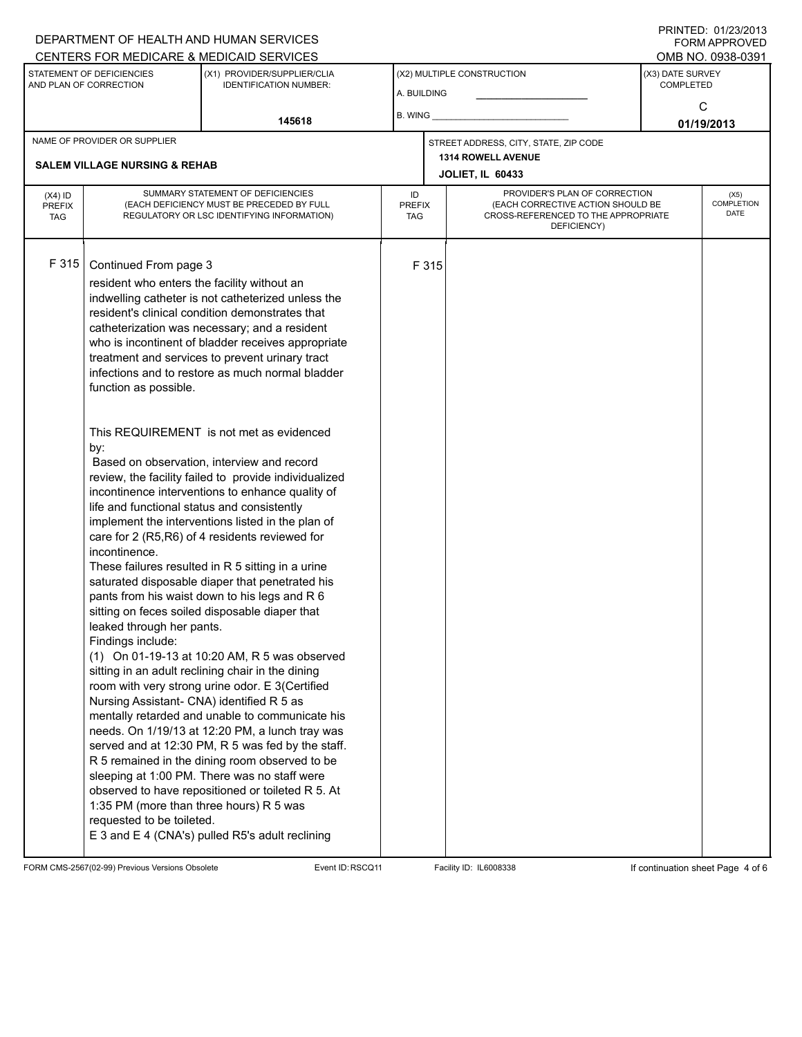### A. BUILDING (X1) PROVIDER/SUPPLIER/CLIA IDENTIFICATION NUMBER: STATEMENT OF DEFICIENCIES AND PLAN OF CORRECTION (X3) DATE SURVEY COMPLETED FORM APPROVED (X2) MULTIPLE CONSTRUCTION B. WING DEPARTMENT OF HEALTH AND HUMAN SERVICES CENTERS FOR MEDICARE & MEDICAID SERVICES **And CENTERS FOR MEDICAL ACCESS** OMB NO. 0938-0391 **145618 01/19/2013**  $\mathsf{C}$ **JOLIET, IL 60433** NAME OF PROVIDER OR SUPPLIER STREET ADDRESS, CITY, STATE, ZIP CODE **SALEM VILLAGE NURSING & REHAB 1314 ROWELL AVENUE** PROVIDER'S PLAN OF CORRECTION (EACH CORRECTIVE ACTION SHOULD BE CROSS-REFERENCED TO THE APPROPRIATE DEFICIENCY) (X5) **COMPLETION** DATE ID PREFIX TAG  $(X4)$  ID PREFIX TAG SUMMARY STATEMENT OF DEFICIENCIES (EACH DEFICIENCY MUST BE PRECEDED BY FULL REGULATORY OR LSC IDENTIFYING INFORMATION) F 315 Continued From page 3 F 315 resident who enters the facility without an indwelling catheter is not catheterized unless the resident's clinical condition demonstrates that catheterization was necessary; and a resident who is incontinent of bladder receives appropriate treatment and services to prevent urinary tract infections and to restore as much normal bladder function as possible. This REQUIREMENT is not met as evidenced by: Based on observation, interview and record review, the facility failed to provide individualized incontinence interventions to enhance quality of life and functional status and consistently implement the interventions listed in the plan of care for 2 (R5,R6) of 4 residents reviewed for incontinence. These failures resulted in R 5 sitting in a urine saturated disposable diaper that penetrated his pants from his waist down to his legs and R 6 sitting on feces soiled disposable diaper that leaked through her pants. Findings include: (1) On 01-19-13 at 10:20 AM, R 5 was observed sitting in an adult reclining chair in the dining room with very strong urine odor. E 3(Certified Nursing Assistant- CNA) identified R 5 as mentally retarded and unable to communicate his needs. On 1/19/13 at 12:20 PM, a lunch tray was served and at 12:30 PM, R 5 was fed by the staff. R 5 remained in the dining room observed to be sleeping at 1:00 PM. There was no staff were observed to have repositioned or toileted R 5. At 1:35 PM (more than three hours) R 5 was requested to be toileted. E 3 and E 4 (CNA's) pulled R5's adult reclining

FORM CMS-2567(02-99) Previous Versions Obsolete **Exent ID:RSCQ11** Facility ID: IL6008338 If continuation sheet Page 4 of 6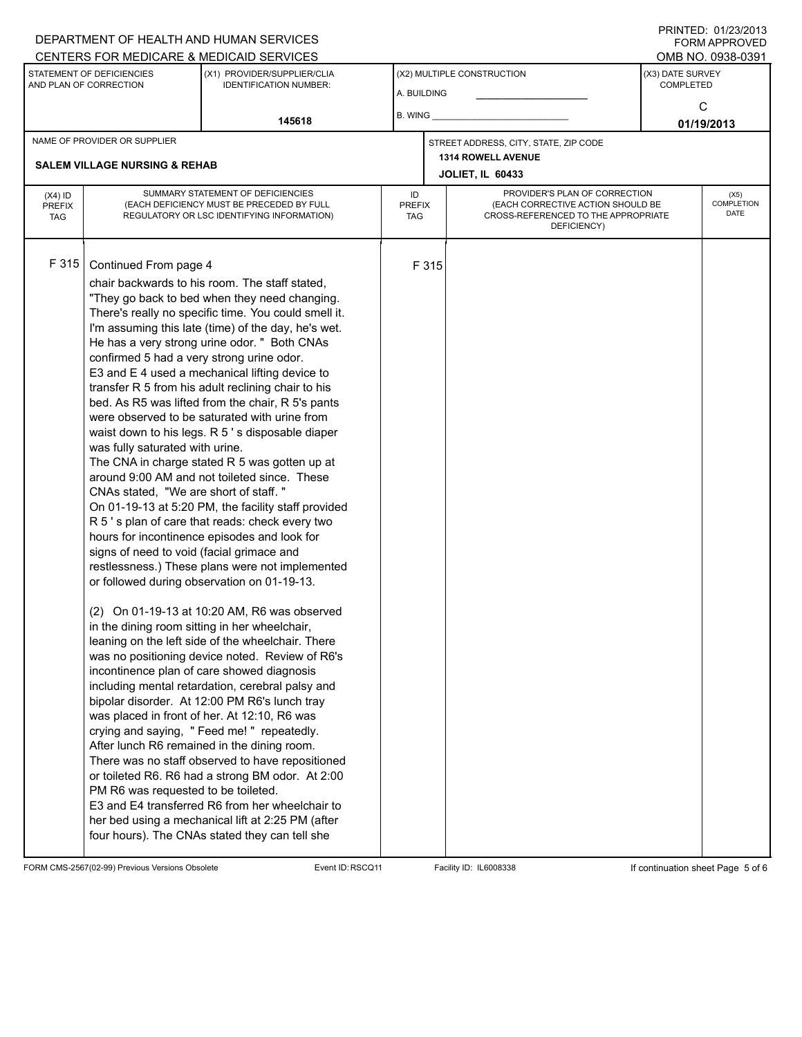### A. BUILDING (X1) PROVIDER/SUPPLIER/CLIA IDENTIFICATION NUMBER: STATEMENT OF DEFICIENCIES AND PLAN OF CORRECTION (X3) DATE SURVEY COMPLETED FORM APPROVED (X2) MULTIPLE CONSTRUCTION B. WING CENTERS FOR MEDICARE & MEDICAID SERVICES **And CENTERS FOR MEDICAL ACCESS** OMB NO. 0938-0391 **145618 01/19/2013**  $\Omega$ **JOLIET, IL 60433** NAME OF PROVIDER OR SUPPLIER STREET ADDRESS, CITY, STATE, ZIP CODE **SALEM VILLAGE NURSING & REHAB 1314 ROWELL AVENUE** PROVIDER'S PLAN OF CORRECTION (EACH CORRECTIVE ACTION SHOULD BE CROSS-REFERENCED TO THE APPROPRIATE DEFICIENCY) (X5) **COMPLETION** DATE ID PREFIX TAG (X4) ID PREFIX TAG SUMMARY STATEMENT OF DEFICIENCIES (EACH DEFICIENCY MUST BE PRECEDED BY FULL REGULATORY OR LSC IDENTIFYING INFORMATION) F 315 Continued From page 4 F 315 chair backwards to his room. The staff stated, "They go back to bed when they need changing. There's really no specific time. You could smell it. I'm assuming this late (time) of the day, he's wet. He has a very strong urine odor. " Both CNAs confirmed 5 had a very strong urine odor. E3 and E 4 used a mechanical lifting device to transfer R 5 from his adult reclining chair to his bed. As R5 was lifted from the chair, R 5's pants were observed to be saturated with urine from waist down to his legs. R 5's disposable diaper was fully saturated with urine. The CNA in charge stated R 5 was gotten up at around 9:00 AM and not toileted since. These CNAs stated, "We are short of staff. " On 01-19-13 at 5:20 PM, the facility staff provided R 5 ' s plan of care that reads: check every two hours for incontinence episodes and look for signs of need to void (facial grimace and restlessness.) These plans were not implemented or followed during observation on 01-19-13. (2) On 01-19-13 at 10:20 AM, R6 was observed in the dining room sitting in her wheelchair, leaning on the left side of the wheelchair. There was no positioning device noted. Review of R6's incontinence plan of care showed diagnosis including mental retardation, cerebral palsy and bipolar disorder. At 12:00 PM R6's lunch tray was placed in front of her. At 12:10, R6 was crying and saying, " Feed me! " repeatedly. After lunch R6 remained in the dining room. There was no staff observed to have repositioned or toileted R6. R6 had a strong BM odor. At 2:00 PM R6 was requested to be toileted. E3 and E4 transferred R6 from her wheelchair to her bed using a mechanical lift at 2:25 PM (after four hours). The CNAs stated they can tell she

FORM CMS-2567(02-99) Previous Versions Obsolete **Exent ID:RSCQ11** Facility ID: IL6008338 If continuation sheet Page 5 of 6

DEPARTMENT OF HEALTH AND HUMAN SERVICES